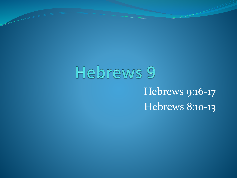# Hebrews 9 Hebrews 9:16-17 Hebrews 8:10-13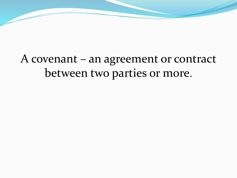### A covenant – an agreement or contract between two parties or more.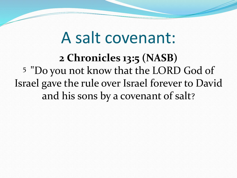# A salt covenant:

**2 Chronicles 13:5 (NASB)**  <sup>5</sup>"Do you not know that the LORD God of Israel gave the rule over Israel forever to David and his sons by a covenant of salt?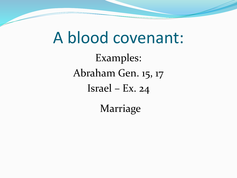A blood covenant: Examples: Abraham Gen. 15, 17 Israel – Ex. 24

Marriage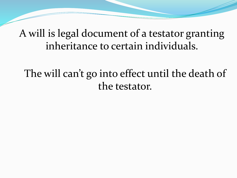#### A will is legal document of a testator granting inheritance to certain individuals.

### The will can't go into effect until the death of the testator.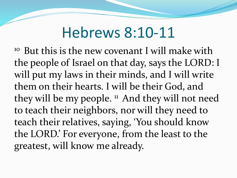## Hebrews 8:10-11

 $10<sup>10</sup>$  But this is the new covenant I will make with the people of Israel on that day, says the LORD: I will put my laws in their minds, and I will write them on their hearts. I will be their God, and they will be my people.  $\mathbb{1}$  And they will not need to teach their neighbors, nor will they need to teach their relatives, saying, 'You should know the LORD.' For everyone, from the least to the greatest, will know me already.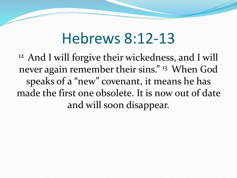## Hebrews 8:12-13

<sup>12</sup> And I will forgive their wickedness, and I will never again remember their sins." <sup>13</sup> When God speaks of a "new" covenant, it means he has made the first one obsolete. It is now out of date and will soon disappear.